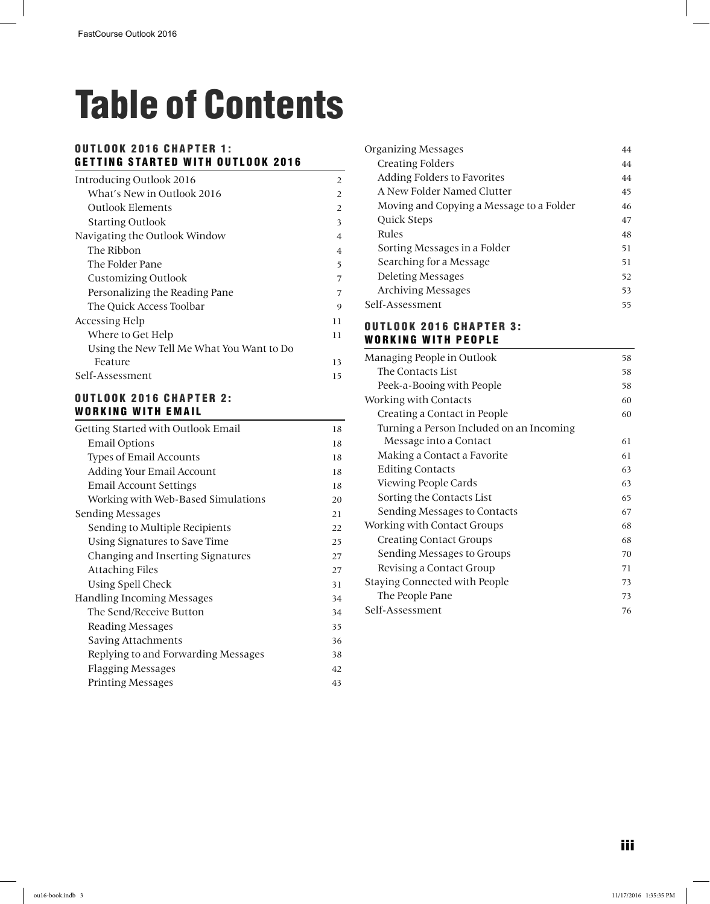# Table of Contents

### OUTLOOK 2016 CHAPTER 1: GETTING STARTED WITH OUTLOOK 2016

| Introducing Outlook 2016                  | 2              |
|-------------------------------------------|----------------|
| What's New in Outlook 2016                | 2              |
| <b>Outlook Elements</b>                   | 2              |
| <b>Starting Outlook</b>                   | 3              |
| Navigating the Outlook Window             | 4              |
| The Ribbon                                | $\overline{4}$ |
| The Folder Pane                           | 5              |
| <b>Customizing Outlook</b>                | 7              |
| Personalizing the Reading Pane            | 7              |
| The Quick Access Toolbar                  | 9              |
| Accessing Help                            | 11             |
| Where to Get Help                         | 11             |
| Using the New Tell Me What You Want to Do |                |
| Feature                                   | 13             |
| Self-Assessment                           | 15             |

#### OUTLOOK 2016 CHAPTER 2: WORKING WITH EMAIL

| Getting Started with Outlook Email  | 18 |
|-------------------------------------|----|
| <b>Email Options</b>                | 18 |
| <b>Types of Email Accounts</b>      | 18 |
| Adding Your Email Account           | 18 |
| <b>Email Account Settings</b>       | 18 |
| Working with Web-Based Simulations  | 20 |
| Sending Messages                    | 21 |
| Sending to Multiple Recipients      | 22 |
| Using Signatures to Save Time       | 25 |
| Changing and Inserting Signatures   | 27 |
| <b>Attaching Files</b>              | 27 |
| Using Spell Check                   | 31 |
| <b>Handling Incoming Messages</b>   | 34 |
| The Send/Receive Button             | 34 |
| Reading Messages                    | 35 |
| Saving Attachments                  | 36 |
| Replying to and Forwarding Messages | 38 |
| <b>Flagging Messages</b>            | 42 |
| <b>Printing Messages</b>            | 43 |
|                                     |    |

| Organizing Messages                      | 44 |
|------------------------------------------|----|
| <b>Creating Folders</b>                  | 44 |
| Adding Folders to Favorites              | 44 |
| A New Folder Named Clutter               | 45 |
| Moving and Copying a Message to a Folder | 46 |
| Quick Steps                              | 47 |
| Rules                                    | 48 |
| Sorting Messages in a Folder             | 51 |
| Searching for a Message                  | 51 |
| Deleting Messages                        | 52 |
| <b>Archiving Messages</b>                | 53 |
| Self-Assessment                          | 55 |
|                                          |    |

#### OUTLOOK 2016 CHAPTER 3: WORKING WITH PEOPLE

| Managing People in Outlook               | 58  |
|------------------------------------------|-----|
| The Contacts List                        | 58  |
| Peek-a-Booing with People                | 58  |
| Working with Contacts                    | 60  |
| Creating a Contact in People             | 60  |
| Turning a Person Included on an Incoming |     |
| Message into a Contact                   | 61  |
| Making a Contact a Favorite              | 61  |
| <b>Editing Contacts</b>                  | 63  |
| Viewing People Cards                     | 63  |
| Sorting the Contacts List                | 65  |
| Sending Messages to Contacts             | 67  |
| Working with Contact Groups              | 68  |
| <b>Creating Contact Groups</b>           | 68  |
| Sending Messages to Groups               | 70  |
| Revising a Contact Group                 | 71  |
| Staying Connected with People            | 73. |
| The People Pane                          | 73  |
| Self-Assessment                          | 76  |